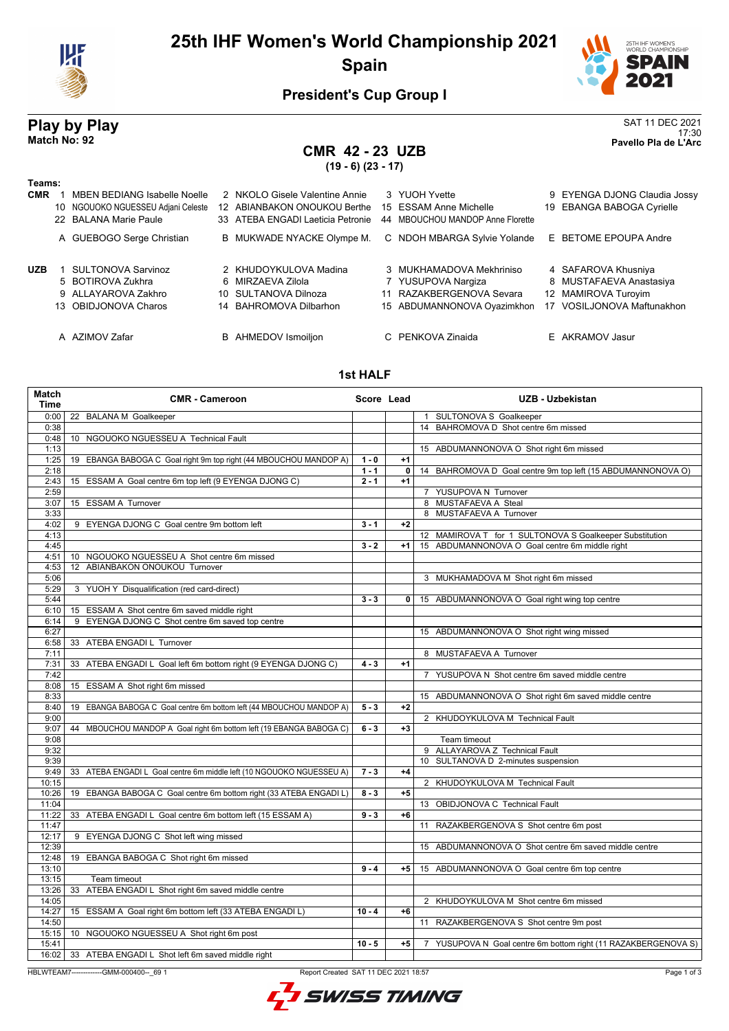

# **25th IHF Women's World Championship 2021 Spain**



17:30 **Match No: 92 Pavello Pla de L'Arc**

### **President's Cup Group I**

# **Play by Play**<br>Match No: 92<br>Pavello Pla de L'Arc

### **CMR 42 - 23 UZB**

**(19 - 6) (23 - 17)**

| . .<br>×<br>w<br>×<br>۰.<br>۰. |
|--------------------------------|

| 1 641115.  |                                                                                                    |                                                                                                     |    |                                                                                                        |                                                                                                     |
|------------|----------------------------------------------------------------------------------------------------|-----------------------------------------------------------------------------------------------------|----|--------------------------------------------------------------------------------------------------------|-----------------------------------------------------------------------------------------------------|
| <b>CMR</b> | <b>MBEN BEDIANG Isabelle Noelle</b><br>10 NGOUOKO NGUESSEU Adjani Celeste<br>22 BALANA Marie Paule | 2 NKOLO Gisele Valentine Annie<br>12 ABIANBAKON ONOUKOU Berthe<br>33 ATEBA ENGADI Laeticia Petronie | 44 | 3 YUOH Yvette<br>15 ESSAM Anne Michelle<br><b>MBOUCHOU MANDOP Anne Florette</b>                        | 9 EYENGA DJONG Claudia Jossy<br>19 EBANGA BABOGA Cyrielle                                           |
|            | A GUEBOGO Serge Christian                                                                          | B MUKWADE NYACKE Olympe M.                                                                          |    | C NDOH MBARGA Sylvie Yolande                                                                           | E BETOME EPOUPA Andre                                                                               |
| <b>UZB</b> | SULTONOVA Sarvinoz<br>5 BOTIROVA Zukhra<br>9 ALLAYAROVA Zakhro<br>13 OBIDJONOVA Charos             | 2 KHUDOYKULOVA Madina<br>6 MIRZAEVA Zilola<br>10 SULTANOVA Dilnoza<br>14 BAHROMOVA Dilbarhon        | 11 | 3 MUKHAMADOVA Mekhriniso<br>7 YUSUPOVA Nargiza<br>RAZAKBERGENOVA Sevara<br>15 ABDUMANNONOVA Oyazimkhon | 4 SAFAROVA Khusniya<br>8 MUSTAFAEVA Anastasiya<br>12 MAMIROVA Turoyim<br>17 VOSILJONOVA Maftunakhon |
|            | A AZIMOV Zafar                                                                                     | <b>B</b> AHMEDOV Ismoiljon                                                                          |    | C PENKOVA Zinaida                                                                                      | E AKRAMOV Jasur                                                                                     |

### **1st HALF**

| Match<br>Time | <b>CMR - Cameroon</b>                                                | Score Lead |                | <b>UZB - Uzbekistan</b>                                        |
|---------------|----------------------------------------------------------------------|------------|----------------|----------------------------------------------------------------|
| 0:00          | 22 BALANA M Goalkeeper                                               |            |                | 1 SULTONOVA S Goalkeeper                                       |
| 0:38          |                                                                      |            |                | 14 BAHROMOVA D Shot centre 6m missed                           |
| 0:48          | 10 NGOUOKO NGUESSEU A Technical Fault                                |            |                |                                                                |
| 1:13          |                                                                      |            |                | 15 ABDUMANNONOVA O Shot right 6m missed                        |
| 1:25          | 19 EBANGA BABOGA C Goal right 9m top right (44 MBOUCHOU MANDOP A)    | $1 - 0$    | $+1$           |                                                                |
| 2:18          |                                                                      | $1 - 1$    | $\overline{0}$ | 14 BAHROMOVA D Goal centre 9m top left (15 ABDUMANNONOVA O)    |
| 2:43          | 15 ESSAM A Goal centre 6m top left (9 EYENGA DJONG C)                | $2 - 1$    | $+1$           |                                                                |
| 2:59          |                                                                      |            |                | 7 YUSUPOVA N Turnover                                          |
| 3:07          | 15 ESSAM A Turnover                                                  |            |                | 8 MUSTAFAEVA A Steal                                           |
| 3:33          |                                                                      |            |                | 8 MUSTAFAEVA A Turnover                                        |
| 4:02          | 9 EYENGA DJONG C Goal centre 9m bottom left                          | $3 - 1$    | $+2$           |                                                                |
| 4:13          |                                                                      |            |                | 12 MAMIROVA T for 1 SULTONOVA S Goalkeeper Substitution        |
| 4:45          |                                                                      | $3 - 2$    | $+1$           | 15 ABDUMANNONOVA O Goal centre 6m middle right                 |
| 4:51          | 10 NGOUOKO NGUESSEU A Shot centre 6m missed                          |            |                |                                                                |
| 4:53          | 12 ABIANBAKON ONOUKOU Turnover                                       |            |                |                                                                |
| 5:06          |                                                                      |            |                | 3 MUKHAMADOVA M Shot right 6m missed                           |
| 5:29          | 3 YUOH Y Disqualification (red card-direct)                          |            |                |                                                                |
| 5:44          |                                                                      | $3 - 3$    | 0 <sup>1</sup> | 15 ABDUMANNONOVA O Goal right wing top centre                  |
| 6:10          | 15 ESSAM A Shot centre 6m saved middle right                         |            |                |                                                                |
| 6:14          | 9 EYENGA DJONG C Shot centre 6m saved top centre                     |            |                |                                                                |
| 6:27          |                                                                      |            |                | 15 ABDUMANNONOVA O Shot right wing missed                      |
| 6:58          | 33 ATEBA ENGADI L Turnover                                           |            |                |                                                                |
| 7:11          |                                                                      |            |                | 8 MUSTAFAEVA A Turnover                                        |
| 7:31          | 33 ATEBA ENGADI L Goal left 6m bottom right (9 EYENGA DJONG C)       | $4 - 3$    | $+1$           |                                                                |
| 7:42          |                                                                      |            |                | 7 YUSUPOVA N Shot centre 6m saved middle centre                |
| 8:08          | 15 ESSAM A Shot right 6m missed                                      |            |                |                                                                |
| 8:33          |                                                                      |            |                | 15 ABDUMANNONOVA O Shot right 6m saved middle centre           |
| 8:40          | 19 EBANGA BABOGA C Goal centre 6m bottom left (44 MBOUCHOU MANDOP A) | $5 - 3$    | $+2$           |                                                                |
| 9:00          |                                                                      |            |                | 2 KHUDOYKULOVA M Technical Fault                               |
| 9:07          | 44 MBOUCHOU MANDOP A Goal right 6m bottom left (19 EBANGA BABOGA C)  | $6 - 3$    | $+3$           |                                                                |
| 9:08          |                                                                      |            |                | Team timeout                                                   |
| 9:32          |                                                                      |            |                | 9 ALLAYAROVA Z Technical Fault                                 |
| 9:39          |                                                                      |            |                | 10 SULTANOVA D 2-minutes suspension                            |
| 9:49          | 33 ATEBA ENGADI L Goal centre 6m middle left (10 NGOUOKO NGUESSEU A) | $7 - 3$    | $+4$           |                                                                |
| 10:15         |                                                                      |            |                | 2 KHUDOYKULOVA M Technical Fault                               |
| 10:26         | 19 EBANGA BABOGA C Goal centre 6m bottom right (33 ATEBA ENGADI L)   | $8 - 3$    | $+5$           |                                                                |
| 11:04         |                                                                      |            |                | 13 OBIDJONOVA C Technical Fault                                |
| 11:22         | 33 ATEBA ENGADI L Goal centre 6m bottom left (15 ESSAM A)            | $9 - 3$    | $+6$           |                                                                |
| 11:47         |                                                                      |            |                | 11 RAZAKBERGENOVA S Shot centre 6m post                        |
| 12:17         | 9 EYENGA DJONG C Shot left wing missed                               |            |                |                                                                |
| 12:39         |                                                                      |            |                | 15 ABDUMANNONOVA O Shot centre 6m saved middle centre          |
| 12:48         | 19 EBANGA BABOGA C Shot right 6m missed                              |            |                |                                                                |
| 13:10         |                                                                      | $9 - 4$    | $+5$           | 15 ABDUMANNONOVA O Goal centre 6m top centre                   |
| 13:15         | Team timeout                                                         |            |                |                                                                |
| 13:26         | 33 ATEBA ENGADI L Shot right 6m saved middle centre                  |            |                |                                                                |
| 14:05         |                                                                      |            |                | 2 KHUDOYKULOVA M Shot centre 6m missed                         |
| 14:27         | 15 ESSAM A Goal right 6m bottom left (33 ATEBA ENGADI L)             | $10 - 4$   | $+6$           |                                                                |
| 14:50         |                                                                      |            |                | 11 RAZAKBERGENOVA S Shot centre 9m post                        |
| 15:15         | 10 NGOUOKO NGUESSEU A Shot right 6m post                             |            |                |                                                                |
| 15:41         |                                                                      | $10 - 5$   | $+5$           | 7 YUSUPOVA N Goal centre 6m bottom right (11 RAZAKBERGENOVA S) |
|               | 16:02   33 ATEBA ENGADI L Shot left 6m saved middle right            |            |                |                                                                |

HBLWTEAM7--------------GMM-000400--\_69 1 Report Created SAT 11 DEC 2021 18:57

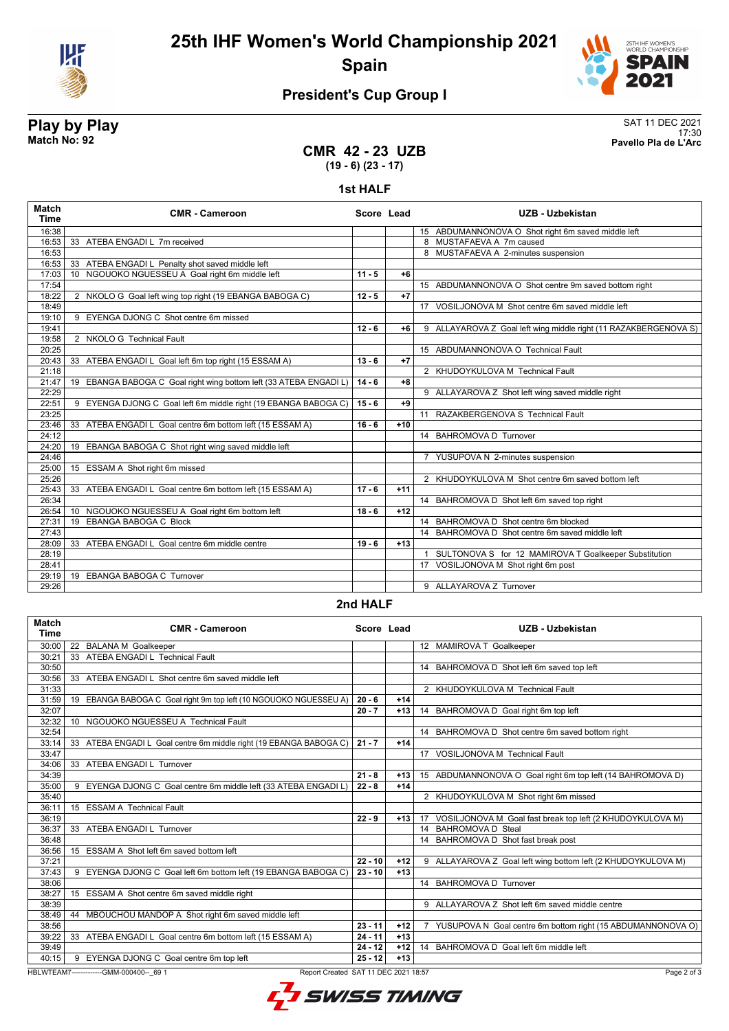

**25th IHF Women's World Championship 2021 Spain**



# **President's Cup Group I**

# **Play by Play**<br>Match No: 92<br>Pavello Pla de L'Arc

17:30 **Match No: 92 Pavello Pla de L'Arc**

### **CMR 42 - 23 UZB (19 - 6) (23 - 17)**

**1st HALF**

| 15 ABDUMANNONOVA O Shot right 6m saved middle left<br>16:38<br>33 ATEBA ENGADI L 7m received<br>16:53<br>8 MUSTAFAEVA A 7m caused<br>16:53<br>8 MUSTAFAEVA A 2-minutes suspension<br>33 ATEBA ENGADI L Penalty shot saved middle left<br>16:53<br>10 NGOUOKO NGUESSEU A Goal right 6m middle left<br>$11 - 5$<br>$+6$<br>17:03<br>17:54<br>15 ABDUMANNONOVA O Shot centre 9m saved bottom right<br>2 NKOLO G Goal left wing top right (19 EBANGA BABOGA C)<br>$12 - 5$<br>$+7$<br>18:22<br>17 VOSILJONOVA M Shot centre 6m saved middle left<br>18:49<br>9 EYENGA DJONG C Shot centre 6m missed<br>19:10<br>$12 - 6$<br>9 ALLAYAROVA Z Goal left wing middle right (11 RAZAKBERGENOVA S)<br>19:41<br>$+6$<br>2 NKOLO G Technical Fault<br>19:58<br>20:25<br>15 ABDUMANNONOVA O Technical Fault<br>$13 - 6$<br>$+7$<br>20:43<br>33 ATEBA ENGADI L Goal left 6m top right (15 ESSAM A)<br>21:18<br>2 KHUDOYKULOVA M Technical Fault<br>19 EBANGA BABOGA C Goal right wing bottom left (33 ATEBA ENGADI L)<br>$14 - 6$<br>$+8$<br>21:47<br>22:29<br>9 ALLAYAROVA Z Shot left wing saved middle right<br>9 EYENGA DJONG C Goal left 6m middle right (19 EBANGA BABOGA C)<br>$15 - 6$<br>$+9$<br>22:51<br>11 RAZAKBERGENOVA S Technical Fault<br>23:25<br>33 ATEBA ENGADI L Goal centre 6m bottom left (15 ESSAM A)<br>$16 - 6$<br>23:46<br>$+10$<br>14 BAHROMOVA D Turnover<br>24:12<br>19 EBANGA BABOGA C Shot right wing saved middle left<br>24:20<br>24:46<br>7 YUSUPOVA N 2-minutes suspension<br>25:00<br>15 ESSAM A Shot right 6m missed<br>25:26<br>2 KHUDOYKULOVA M Shot centre 6m saved bottom left<br>25:43<br>33 ATEBA ENGADI L Goal centre 6m bottom left (15 ESSAM A)<br>$17 - 6$<br>$+11$<br>26:34<br>14 BAHROMOVA D Shot left 6m saved top right<br>10 NGOUOKO NGUESSEU A Goal right 6m bottom left<br>26:54<br>$18 - 6$<br>$+12$<br>19 EBANGA BABOGA C Block<br>14 BAHROMOVA D Shot centre 6m blocked<br>27:31<br>27:43<br>14 BAHROMOVA D Shot centre 6m saved middle left<br>33 ATEBA ENGADI L Goal centre 6m middle centre<br>$19 - 6$<br>$+13$<br>28:09<br>28:19<br>1 SULTONOVA S for 12 MAMIROVA T Goalkeeper Substitution<br>17 VOSILJONOVA M Shot right 6m post<br>28:41<br>19 EBANGA BABOGA C Turnover<br>29:19<br>9 ALLAYAROVA Z Turnover<br>29:26 | <b>Match</b><br>Time | <b>CMR - Cameroon</b> | Score Lead | UZB - Uzbekistan |
|-------------------------------------------------------------------------------------------------------------------------------------------------------------------------------------------------------------------------------------------------------------------------------------------------------------------------------------------------------------------------------------------------------------------------------------------------------------------------------------------------------------------------------------------------------------------------------------------------------------------------------------------------------------------------------------------------------------------------------------------------------------------------------------------------------------------------------------------------------------------------------------------------------------------------------------------------------------------------------------------------------------------------------------------------------------------------------------------------------------------------------------------------------------------------------------------------------------------------------------------------------------------------------------------------------------------------------------------------------------------------------------------------------------------------------------------------------------------------------------------------------------------------------------------------------------------------------------------------------------------------------------------------------------------------------------------------------------------------------------------------------------------------------------------------------------------------------------------------------------------------------------------------------------------------------------------------------------------------------------------------------------------------------------------------------------------------------------------------------------------------------------------------------------------------------------------------------------------------------------------------------------------------|----------------------|-----------------------|------------|------------------|
|                                                                                                                                                                                                                                                                                                                                                                                                                                                                                                                                                                                                                                                                                                                                                                                                                                                                                                                                                                                                                                                                                                                                                                                                                                                                                                                                                                                                                                                                                                                                                                                                                                                                                                                                                                                                                                                                                                                                                                                                                                                                                                                                                                                                                                                                         |                      |                       |            |                  |
|                                                                                                                                                                                                                                                                                                                                                                                                                                                                                                                                                                                                                                                                                                                                                                                                                                                                                                                                                                                                                                                                                                                                                                                                                                                                                                                                                                                                                                                                                                                                                                                                                                                                                                                                                                                                                                                                                                                                                                                                                                                                                                                                                                                                                                                                         |                      |                       |            |                  |
|                                                                                                                                                                                                                                                                                                                                                                                                                                                                                                                                                                                                                                                                                                                                                                                                                                                                                                                                                                                                                                                                                                                                                                                                                                                                                                                                                                                                                                                                                                                                                                                                                                                                                                                                                                                                                                                                                                                                                                                                                                                                                                                                                                                                                                                                         |                      |                       |            |                  |
|                                                                                                                                                                                                                                                                                                                                                                                                                                                                                                                                                                                                                                                                                                                                                                                                                                                                                                                                                                                                                                                                                                                                                                                                                                                                                                                                                                                                                                                                                                                                                                                                                                                                                                                                                                                                                                                                                                                                                                                                                                                                                                                                                                                                                                                                         |                      |                       |            |                  |
|                                                                                                                                                                                                                                                                                                                                                                                                                                                                                                                                                                                                                                                                                                                                                                                                                                                                                                                                                                                                                                                                                                                                                                                                                                                                                                                                                                                                                                                                                                                                                                                                                                                                                                                                                                                                                                                                                                                                                                                                                                                                                                                                                                                                                                                                         |                      |                       |            |                  |
|                                                                                                                                                                                                                                                                                                                                                                                                                                                                                                                                                                                                                                                                                                                                                                                                                                                                                                                                                                                                                                                                                                                                                                                                                                                                                                                                                                                                                                                                                                                                                                                                                                                                                                                                                                                                                                                                                                                                                                                                                                                                                                                                                                                                                                                                         |                      |                       |            |                  |
|                                                                                                                                                                                                                                                                                                                                                                                                                                                                                                                                                                                                                                                                                                                                                                                                                                                                                                                                                                                                                                                                                                                                                                                                                                                                                                                                                                                                                                                                                                                                                                                                                                                                                                                                                                                                                                                                                                                                                                                                                                                                                                                                                                                                                                                                         |                      |                       |            |                  |
|                                                                                                                                                                                                                                                                                                                                                                                                                                                                                                                                                                                                                                                                                                                                                                                                                                                                                                                                                                                                                                                                                                                                                                                                                                                                                                                                                                                                                                                                                                                                                                                                                                                                                                                                                                                                                                                                                                                                                                                                                                                                                                                                                                                                                                                                         |                      |                       |            |                  |
|                                                                                                                                                                                                                                                                                                                                                                                                                                                                                                                                                                                                                                                                                                                                                                                                                                                                                                                                                                                                                                                                                                                                                                                                                                                                                                                                                                                                                                                                                                                                                                                                                                                                                                                                                                                                                                                                                                                                                                                                                                                                                                                                                                                                                                                                         |                      |                       |            |                  |
|                                                                                                                                                                                                                                                                                                                                                                                                                                                                                                                                                                                                                                                                                                                                                                                                                                                                                                                                                                                                                                                                                                                                                                                                                                                                                                                                                                                                                                                                                                                                                                                                                                                                                                                                                                                                                                                                                                                                                                                                                                                                                                                                                                                                                                                                         |                      |                       |            |                  |
|                                                                                                                                                                                                                                                                                                                                                                                                                                                                                                                                                                                                                                                                                                                                                                                                                                                                                                                                                                                                                                                                                                                                                                                                                                                                                                                                                                                                                                                                                                                                                                                                                                                                                                                                                                                                                                                                                                                                                                                                                                                                                                                                                                                                                                                                         |                      |                       |            |                  |
|                                                                                                                                                                                                                                                                                                                                                                                                                                                                                                                                                                                                                                                                                                                                                                                                                                                                                                                                                                                                                                                                                                                                                                                                                                                                                                                                                                                                                                                                                                                                                                                                                                                                                                                                                                                                                                                                                                                                                                                                                                                                                                                                                                                                                                                                         |                      |                       |            |                  |
|                                                                                                                                                                                                                                                                                                                                                                                                                                                                                                                                                                                                                                                                                                                                                                                                                                                                                                                                                                                                                                                                                                                                                                                                                                                                                                                                                                                                                                                                                                                                                                                                                                                                                                                                                                                                                                                                                                                                                                                                                                                                                                                                                                                                                                                                         |                      |                       |            |                  |
|                                                                                                                                                                                                                                                                                                                                                                                                                                                                                                                                                                                                                                                                                                                                                                                                                                                                                                                                                                                                                                                                                                                                                                                                                                                                                                                                                                                                                                                                                                                                                                                                                                                                                                                                                                                                                                                                                                                                                                                                                                                                                                                                                                                                                                                                         |                      |                       |            |                  |
|                                                                                                                                                                                                                                                                                                                                                                                                                                                                                                                                                                                                                                                                                                                                                                                                                                                                                                                                                                                                                                                                                                                                                                                                                                                                                                                                                                                                                                                                                                                                                                                                                                                                                                                                                                                                                                                                                                                                                                                                                                                                                                                                                                                                                                                                         |                      |                       |            |                  |
|                                                                                                                                                                                                                                                                                                                                                                                                                                                                                                                                                                                                                                                                                                                                                                                                                                                                                                                                                                                                                                                                                                                                                                                                                                                                                                                                                                                                                                                                                                                                                                                                                                                                                                                                                                                                                                                                                                                                                                                                                                                                                                                                                                                                                                                                         |                      |                       |            |                  |
|                                                                                                                                                                                                                                                                                                                                                                                                                                                                                                                                                                                                                                                                                                                                                                                                                                                                                                                                                                                                                                                                                                                                                                                                                                                                                                                                                                                                                                                                                                                                                                                                                                                                                                                                                                                                                                                                                                                                                                                                                                                                                                                                                                                                                                                                         |                      |                       |            |                  |
|                                                                                                                                                                                                                                                                                                                                                                                                                                                                                                                                                                                                                                                                                                                                                                                                                                                                                                                                                                                                                                                                                                                                                                                                                                                                                                                                                                                                                                                                                                                                                                                                                                                                                                                                                                                                                                                                                                                                                                                                                                                                                                                                                                                                                                                                         |                      |                       |            |                  |
|                                                                                                                                                                                                                                                                                                                                                                                                                                                                                                                                                                                                                                                                                                                                                                                                                                                                                                                                                                                                                                                                                                                                                                                                                                                                                                                                                                                                                                                                                                                                                                                                                                                                                                                                                                                                                                                                                                                                                                                                                                                                                                                                                                                                                                                                         |                      |                       |            |                  |
|                                                                                                                                                                                                                                                                                                                                                                                                                                                                                                                                                                                                                                                                                                                                                                                                                                                                                                                                                                                                                                                                                                                                                                                                                                                                                                                                                                                                                                                                                                                                                                                                                                                                                                                                                                                                                                                                                                                                                                                                                                                                                                                                                                                                                                                                         |                      |                       |            |                  |
|                                                                                                                                                                                                                                                                                                                                                                                                                                                                                                                                                                                                                                                                                                                                                                                                                                                                                                                                                                                                                                                                                                                                                                                                                                                                                                                                                                                                                                                                                                                                                                                                                                                                                                                                                                                                                                                                                                                                                                                                                                                                                                                                                                                                                                                                         |                      |                       |            |                  |
|                                                                                                                                                                                                                                                                                                                                                                                                                                                                                                                                                                                                                                                                                                                                                                                                                                                                                                                                                                                                                                                                                                                                                                                                                                                                                                                                                                                                                                                                                                                                                                                                                                                                                                                                                                                                                                                                                                                                                                                                                                                                                                                                                                                                                                                                         |                      |                       |            |                  |
|                                                                                                                                                                                                                                                                                                                                                                                                                                                                                                                                                                                                                                                                                                                                                                                                                                                                                                                                                                                                                                                                                                                                                                                                                                                                                                                                                                                                                                                                                                                                                                                                                                                                                                                                                                                                                                                                                                                                                                                                                                                                                                                                                                                                                                                                         |                      |                       |            |                  |
|                                                                                                                                                                                                                                                                                                                                                                                                                                                                                                                                                                                                                                                                                                                                                                                                                                                                                                                                                                                                                                                                                                                                                                                                                                                                                                                                                                                                                                                                                                                                                                                                                                                                                                                                                                                                                                                                                                                                                                                                                                                                                                                                                                                                                                                                         |                      |                       |            |                  |
|                                                                                                                                                                                                                                                                                                                                                                                                                                                                                                                                                                                                                                                                                                                                                                                                                                                                                                                                                                                                                                                                                                                                                                                                                                                                                                                                                                                                                                                                                                                                                                                                                                                                                                                                                                                                                                                                                                                                                                                                                                                                                                                                                                                                                                                                         |                      |                       |            |                  |
|                                                                                                                                                                                                                                                                                                                                                                                                                                                                                                                                                                                                                                                                                                                                                                                                                                                                                                                                                                                                                                                                                                                                                                                                                                                                                                                                                                                                                                                                                                                                                                                                                                                                                                                                                                                                                                                                                                                                                                                                                                                                                                                                                                                                                                                                         |                      |                       |            |                  |
|                                                                                                                                                                                                                                                                                                                                                                                                                                                                                                                                                                                                                                                                                                                                                                                                                                                                                                                                                                                                                                                                                                                                                                                                                                                                                                                                                                                                                                                                                                                                                                                                                                                                                                                                                                                                                                                                                                                                                                                                                                                                                                                                                                                                                                                                         |                      |                       |            |                  |
|                                                                                                                                                                                                                                                                                                                                                                                                                                                                                                                                                                                                                                                                                                                                                                                                                                                                                                                                                                                                                                                                                                                                                                                                                                                                                                                                                                                                                                                                                                                                                                                                                                                                                                                                                                                                                                                                                                                                                                                                                                                                                                                                                                                                                                                                         |                      |                       |            |                  |
|                                                                                                                                                                                                                                                                                                                                                                                                                                                                                                                                                                                                                                                                                                                                                                                                                                                                                                                                                                                                                                                                                                                                                                                                                                                                                                                                                                                                                                                                                                                                                                                                                                                                                                                                                                                                                                                                                                                                                                                                                                                                                                                                                                                                                                                                         |                      |                       |            |                  |
|                                                                                                                                                                                                                                                                                                                                                                                                                                                                                                                                                                                                                                                                                                                                                                                                                                                                                                                                                                                                                                                                                                                                                                                                                                                                                                                                                                                                                                                                                                                                                                                                                                                                                                                                                                                                                                                                                                                                                                                                                                                                                                                                                                                                                                                                         |                      |                       |            |                  |
|                                                                                                                                                                                                                                                                                                                                                                                                                                                                                                                                                                                                                                                                                                                                                                                                                                                                                                                                                                                                                                                                                                                                                                                                                                                                                                                                                                                                                                                                                                                                                                                                                                                                                                                                                                                                                                                                                                                                                                                                                                                                                                                                                                                                                                                                         |                      |                       |            |                  |
|                                                                                                                                                                                                                                                                                                                                                                                                                                                                                                                                                                                                                                                                                                                                                                                                                                                                                                                                                                                                                                                                                                                                                                                                                                                                                                                                                                                                                                                                                                                                                                                                                                                                                                                                                                                                                                                                                                                                                                                                                                                                                                                                                                                                                                                                         |                      |                       |            |                  |
|                                                                                                                                                                                                                                                                                                                                                                                                                                                                                                                                                                                                                                                                                                                                                                                                                                                                                                                                                                                                                                                                                                                                                                                                                                                                                                                                                                                                                                                                                                                                                                                                                                                                                                                                                                                                                                                                                                                                                                                                                                                                                                                                                                                                                                                                         |                      |                       |            |                  |
|                                                                                                                                                                                                                                                                                                                                                                                                                                                                                                                                                                                                                                                                                                                                                                                                                                                                                                                                                                                                                                                                                                                                                                                                                                                                                                                                                                                                                                                                                                                                                                                                                                                                                                                                                                                                                                                                                                                                                                                                                                                                                                                                                                                                                                                                         |                      |                       |            |                  |

#### **2nd HALF**

| <b>Match</b><br>Time | <b>CMR - Cameroon</b>                                                                          | Score Lead |       | <b>UZB - Uzbekistan</b>                                                      |  |  |  |
|----------------------|------------------------------------------------------------------------------------------------|------------|-------|------------------------------------------------------------------------------|--|--|--|
| 30:00                | 22 BALANA M Goalkeeper                                                                         |            |       | 12 MAMIROVA T Goalkeeper                                                     |  |  |  |
| 30:21                | 33 ATEBA ENGADI L Technical Fault                                                              |            |       |                                                                              |  |  |  |
| 30:50                |                                                                                                |            |       | 14 BAHROMOVA D Shot left 6m saved top left                                   |  |  |  |
| 30:56                | 33 ATEBA ENGADI L Shot centre 6m saved middle left                                             |            |       |                                                                              |  |  |  |
| 31:33                |                                                                                                |            |       | 2 KHUDOYKULOVA M Technical Fault                                             |  |  |  |
| 31:59                | 19 EBANGA BABOGA C Goal right 9m top left (10 NGOUOKO NGUESSEU A)                              | $20 - 6$   | $+14$ |                                                                              |  |  |  |
| 32:07                |                                                                                                | $20 - 7$   | $+13$ | 14 BAHROMOVA D Goal right 6m top left                                        |  |  |  |
| 32:32                | 10 NGOUOKO NGUESSEU A Technical Fault                                                          |            |       |                                                                              |  |  |  |
| 32:54                |                                                                                                |            |       | BAHROMOVA D Shot centre 6m saved bottom right<br>14                          |  |  |  |
| 33:14                | 33 ATEBA ENGADI L Goal centre 6m middle right (19 EBANGA BABOGA C)                             | $21 - 7$   | $+14$ |                                                                              |  |  |  |
| 33:47                |                                                                                                |            |       | 17 VOSILJONOVA M Technical Fault                                             |  |  |  |
| 34:06                | 33 ATEBA ENGADI L Turnover                                                                     |            |       |                                                                              |  |  |  |
| 34:39                |                                                                                                | $21 - 8$   | $+13$ | 15 ABDUMANNONOVA O Goal right 6m top left (14 BAHROMOVA D)                   |  |  |  |
| 35:00                | 9 EYENGA DJONG C Goal centre 6m middle left (33 ATEBA ENGADI L)                                | $22 - 8$   | $+14$ |                                                                              |  |  |  |
| 35:40                |                                                                                                |            |       | 2 KHUDOYKULOVA M Shot right 6m missed                                        |  |  |  |
| 36:11                | 15 ESSAM A Technical Fault                                                                     |            |       |                                                                              |  |  |  |
| 36:19                |                                                                                                | $22 - 9$   | $+13$ | VOSILJONOVA M Goal fast break top left (2 KHUDOYKULOVA M)<br>17 <sup>2</sup> |  |  |  |
| 36:37                | 33 ATEBA ENGADI L Turnover                                                                     |            |       | 14 BAHROMOVA D Steal                                                         |  |  |  |
| 36:48                |                                                                                                |            |       | BAHROMOVA D Shot fast break post                                             |  |  |  |
| 36:56                | 15 ESSAM A Shot left 6m saved bottom left                                                      |            |       |                                                                              |  |  |  |
| 37:21                |                                                                                                | $22 - 10$  | $+12$ | 9 ALLAYAROVA Z Goal left wing bottom left (2 KHUDOYKULOVA M)                 |  |  |  |
| 37:43                | 9 EYENGA DJONG C Goal left 6m bottom left (19 EBANGA BABOGA C)                                 | $23 - 10$  | $+13$ |                                                                              |  |  |  |
| 38:06                |                                                                                                |            |       | 14 BAHROMOVA D Turnover                                                      |  |  |  |
| 38:27                | 15 ESSAM A Shot centre 6m saved middle right                                                   |            |       |                                                                              |  |  |  |
| 38:39                |                                                                                                |            |       | 9 ALLAYAROVA Z Shot left 6m saved middle centre                              |  |  |  |
| 38:49                | MBOUCHOU MANDOP A Shot right 6m saved middle left<br>44                                        |            |       |                                                                              |  |  |  |
| 38:56                |                                                                                                | $23 - 11$  | $+12$ | 7 YUSUPOVA N Goal centre 6m bottom right (15 ABDUMANNONOVA O)                |  |  |  |
| 39:22                | 33 ATEBA ENGADI L Goal centre 6m bottom left (15 ESSAM A)                                      | $24 - 11$  | $+13$ |                                                                              |  |  |  |
| 39:49                |                                                                                                | $24 - 12$  | $+12$ | BAHROMOVA D Goal left 6m middle left<br>14                                   |  |  |  |
| 40:15                | 9 EYENGA DJONG C Goal centre 6m top left                                                       | $25 - 12$  | $+13$ |                                                                              |  |  |  |
|                      | HBLWTEAM7-------------GMM-000400-- 69 1<br>Report Created SAT 11 DEC 2021 18:57<br>Page 2 of 3 |            |       |                                                                              |  |  |  |